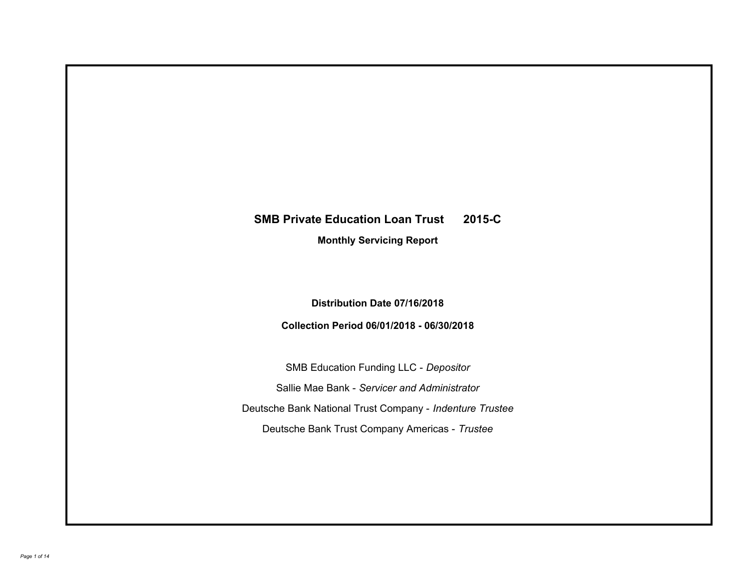# **SMB Private Education Loan Trust 2015-C**

**Monthly Servicing Report**

**Distribution Date 07/16/2018**

**Collection Period 06/01/2018 - 06/30/2018**

SMB Education Funding LLC - *Depositor* Sallie Mae Bank - *Servicer and Administrator* Deutsche Bank National Trust Company - *Indenture Trustee* Deutsche Bank Trust Company Americas - *Trustee*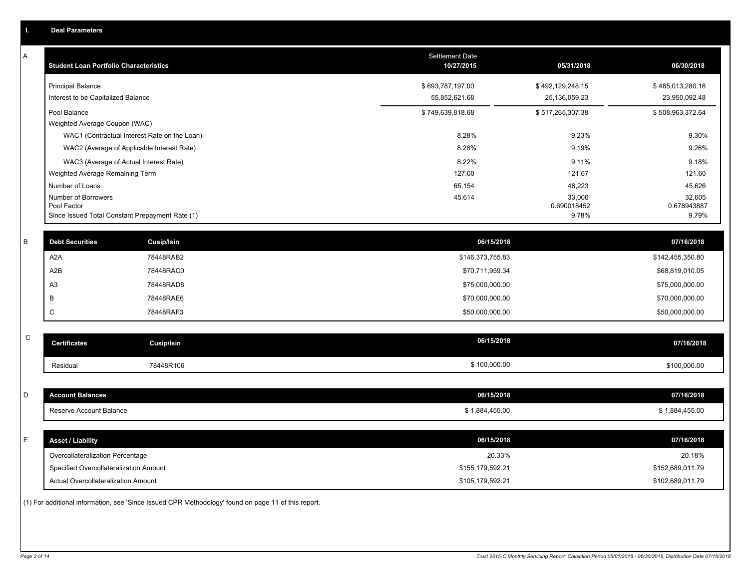| ı.          | <b>Deal Parameters</b>                        |                                                 |                               |                       |                       |
|-------------|-----------------------------------------------|-------------------------------------------------|-------------------------------|-----------------------|-----------------------|
| A           | <b>Student Loan Portfolio Characteristics</b> |                                                 | Settlement Date<br>10/27/2015 | 05/31/2018            | 06/30/2018            |
|             | <b>Principal Balance</b>                      |                                                 | \$693,787,197.00              | \$492,129,248.15      | \$485,013,280.16      |
|             | Interest to be Capitalized Balance            |                                                 | 55,852,621.68                 | 25,136,059.23         | 23,950,092.48         |
|             | Pool Balance                                  |                                                 | \$749,639,818.68              | \$517,265,307.38      | \$508,963,372.64      |
|             | Weighted Average Coupon (WAC)                 |                                                 |                               |                       |                       |
|             |                                               | WAC1 (Contractual Interest Rate on the Loan)    | 8.28%                         | 9.23%                 | 9.30%                 |
|             |                                               | WAC2 (Average of Applicable Interest Rate)      | 8.28%                         | 9.19%                 | 9.26%                 |
|             |                                               | WAC3 (Average of Actual Interest Rate)          | 8.22%                         | 9.11%                 | 9.18%                 |
|             | Weighted Average Remaining Term               |                                                 | 127.00                        | 121.67                | 121.60                |
|             | Number of Loans                               |                                                 | 65,154                        | 46,223                | 45,626                |
|             | Number of Borrowers<br>Pool Factor            |                                                 | 45,614                        | 33,006<br>0.690018452 | 32,605<br>0.678943887 |
|             |                                               | Since Issued Total Constant Prepayment Rate (1) |                               | 9.78%                 | 9.79%                 |
| $\sf B$     | <b>Debt Securities</b>                        | Cusip/Isin                                      | 06/15/2018                    |                       | 07/16/2018            |
|             | A <sub>2</sub> A                              | 78448RAB2                                       | \$146,373,755.83              |                       | \$142,455,350.80      |
|             | A <sub>2</sub> B                              | 78448RAC0                                       | \$70,711,959.34               |                       | \$68,819,010.05       |
|             |                                               |                                                 |                               |                       |                       |
|             | A <sub>3</sub>                                | 78448RAD8                                       | \$75,000,000.00               |                       | \$75,000,000.00       |
|             | B                                             | 78448RAE6                                       | \$70,000,000.00               |                       | \$70,000,000.00       |
|             | C                                             | 78448RAF3                                       | \$50,000,000.00               |                       | \$50,000,000.00       |
| $\mathsf C$ | <b>Certificates</b>                           | <b>Cusip/Isin</b>                               | 06/15/2018                    |                       | 07/16/2018            |
|             | Residual                                      | 78448R106                                       | \$100,000.00                  |                       | \$100,000.00          |
|             |                                               |                                                 |                               |                       |                       |
| D           | <b>Account Balances</b>                       |                                                 | 06/15/2018                    |                       | 07/16/2018            |
|             | Reserve Account Balance                       |                                                 | \$1,884,455.00                |                       | \$1,884,455.00        |
|             |                                               |                                                 |                               |                       |                       |
| Е           | <b>Asset / Liability</b>                      |                                                 | 06/15/2018                    |                       | 07/16/2018            |
|             | Overcollateralization Percentage              |                                                 | 20.33%                        |                       | 20.18%                |
|             | Specified Overcollateralization Amount        |                                                 | \$155,179,592.21              |                       | \$152,689,011.79      |
|             | Actual Overcollateralization Amount           |                                                 | \$105,179,592.21              |                       | \$102,689,011.79      |

(1) For additional information, see 'Since Issued CPR Methodology' found on page 11 of this report.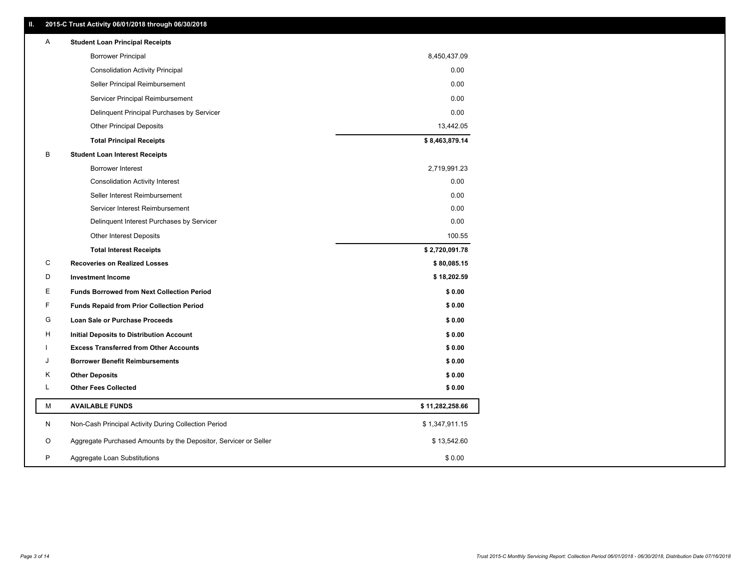| Ш. | 2015-C Trust Activity 06/01/2018 through 06/30/2018              |                 |
|----|------------------------------------------------------------------|-----------------|
| A  | <b>Student Loan Principal Receipts</b>                           |                 |
|    | <b>Borrower Principal</b>                                        | 8,450,437.09    |
|    | <b>Consolidation Activity Principal</b>                          | 0.00            |
|    | Seller Principal Reimbursement                                   | 0.00            |
|    | Servicer Principal Reimbursement                                 | 0.00            |
|    | Delinquent Principal Purchases by Servicer                       | 0.00            |
|    | <b>Other Principal Deposits</b>                                  | 13,442.05       |
|    | <b>Total Principal Receipts</b>                                  | \$8,463,879.14  |
| В  | <b>Student Loan Interest Receipts</b>                            |                 |
|    | Borrower Interest                                                | 2,719,991.23    |
|    | <b>Consolidation Activity Interest</b>                           | 0.00            |
|    | Seller Interest Reimbursement                                    | 0.00            |
|    | Servicer Interest Reimbursement                                  | 0.00            |
|    | Delinquent Interest Purchases by Servicer                        | 0.00            |
|    | <b>Other Interest Deposits</b>                                   | 100.55          |
|    | <b>Total Interest Receipts</b>                                   | \$2,720,091.78  |
| C  | <b>Recoveries on Realized Losses</b>                             | \$80,085.15     |
| D  | <b>Investment Income</b>                                         | \$18,202.59     |
| Е  | <b>Funds Borrowed from Next Collection Period</b>                | \$0.00          |
| F  | <b>Funds Repaid from Prior Collection Period</b>                 | \$0.00          |
| G  | Loan Sale or Purchase Proceeds                                   | \$0.00          |
| н  | Initial Deposits to Distribution Account                         | \$0.00          |
|    | <b>Excess Transferred from Other Accounts</b>                    | \$0.00          |
| J  | <b>Borrower Benefit Reimbursements</b>                           | \$0.00          |
| Κ  | <b>Other Deposits</b>                                            | \$0.00          |
| L  | <b>Other Fees Collected</b>                                      | \$0.00          |
| М  | <b>AVAILABLE FUNDS</b>                                           | \$11,282,258.66 |
|    |                                                                  |                 |
| N  | Non-Cash Principal Activity During Collection Period             | \$1,347,911.15  |
| O  | Aggregate Purchased Amounts by the Depositor, Servicer or Seller | \$13,542.60     |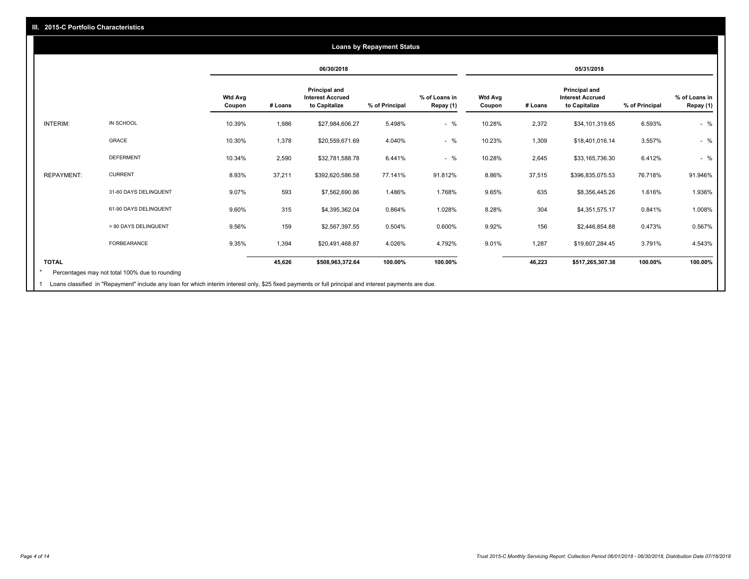### **06/30/2018 05/31/2018 Wtd Avg Coupon # Loans Principal and Interest Accrued to Capitalize % of Principal % of Loans in Repay (1) Wtd Avg Coupon # Loans Principal and Interest Accrued to Capitalize % of Principal % of Loans in Repay (1)**  INTERIM: IN SCHOOL 10.39% 1,986 \$27,984,606.27 5.498% - % 10.28% 2,372 \$34,101,319.65 6.593% - % GRACE 10.30% 1,378 \$20,559,671.69 4.040% - % 10.23% 1,309 \$18,401,016.14 3.557% - % DEFERMENT 10.34% 2,590 \$32,781,588.78 6.441% - % 10.28% 2,645 \$33,165,736.30 6.412% - % REPAYMENT: CURRENT 8.93% 37,211 \$392,620,586.58 77.141% 91.812% 8.86% 37,515 \$396,835,075.53 76.718% 91.946% 31-60 DAYS DELINQUENT 9.07% 593 \$7,562,690.86 1.486% 1.768% 9.65% 635 \$8,356,445.26 1.616% 1.936% 61-90 DAYS DELINQUENT 9.60% 315 \$4,395,362.04 0.864% 1.028% 8.28% 304 \$4,351,575.17 0.841% 1.008% > 90 DAYS DELINQUENT 9.56% 159 \$2,567,397.55 0.504% 0.600% 9.92% 156 \$2,446,854.88 0.473% 0.567% FORBEARANCE 9.35% 1,394 \$20,491,468.87 4.026% 4.792% 9.01% 1,287 \$19,607,284.45 3.791% 4.543% **TOTAL 45,626 \$508,963,372.64 100.00% 100.00% 46,223 \$517,265,307.38 100.00% 100.00% Loans by Repayment Status** Percentages may not total 100% due to rounding \*

Loans classified in "Repayment" include any loan for which interim interest only, \$25 fixed payments or full principal and interest payments are due. 1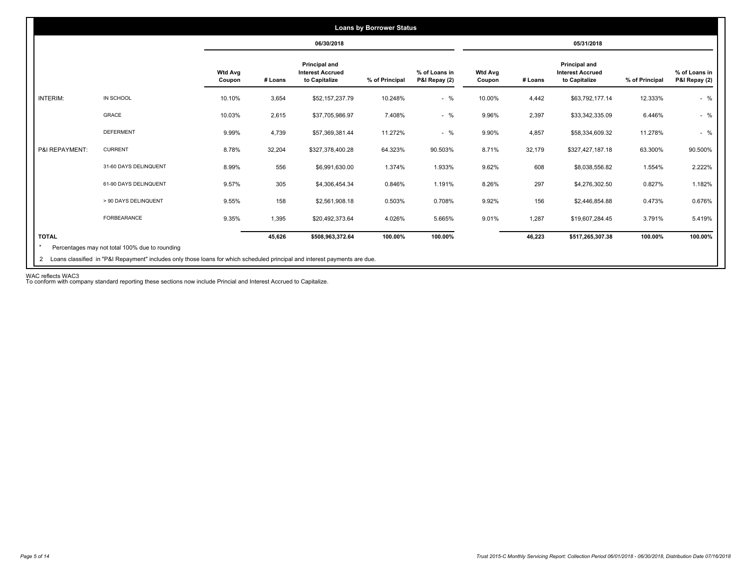|                 |                       |                          |         | 06/30/2018                                                       |                |                                |                          |         | 05/31/2018                                                |                |                                |
|-----------------|-----------------------|--------------------------|---------|------------------------------------------------------------------|----------------|--------------------------------|--------------------------|---------|-----------------------------------------------------------|----------------|--------------------------------|
|                 |                       | <b>Wtd Avg</b><br>Coupon | # Loans | <b>Principal and</b><br><b>Interest Accrued</b><br>to Capitalize | % of Principal | % of Loans in<br>P&I Repay (2) | <b>Wtd Avg</b><br>Coupon | # Loans | Principal and<br><b>Interest Accrued</b><br>to Capitalize | % of Principal | % of Loans in<br>P&I Repay (2) |
| <b>INTERIM:</b> | IN SCHOOL             | 10.10%                   | 3,654   | \$52,157,237.79                                                  | 10.248%        | $-$ %                          | 10.00%                   | 4,442   | \$63,792,177.14                                           | 12.333%        | $-$ %                          |
|                 | GRACE                 | 10.03%                   | 2,615   | \$37,705,986.97                                                  | 7.408%         | $-$ %                          | 9.96%                    | 2,397   | \$33,342,335.09                                           | 6.446%         | $-$ %                          |
|                 | <b>DEFERMENT</b>      | 9.99%                    | 4,739   | \$57,369,381.44                                                  | 11.272%        | $-$ %                          | 9.90%                    | 4,857   | \$58,334,609.32                                           | 11.278%        | $-$ %                          |
| P&I REPAYMENT:  | <b>CURRENT</b>        | 8.78%                    | 32,204  | \$327,378,400.28                                                 | 64.323%        | 90.503%                        | 8.71%                    | 32,179  | \$327,427,187.18                                          | 63.300%        | 90.500%                        |
|                 | 31-60 DAYS DELINQUENT | 8.99%                    | 556     | \$6,991,630.00                                                   | 1.374%         | 1.933%                         | 9.62%                    | 608     | \$8,038,556.82                                            | 1.554%         | 2.222%                         |
|                 | 61-90 DAYS DELINQUENT | 9.57%                    | 305     | \$4,306,454.34                                                   | 0.846%         | 1.191%                         | 8.26%                    | 297     | \$4,276,302.50                                            | 0.827%         | 1.182%                         |
|                 | > 90 DAYS DELINQUENT  | 9.55%                    | 158     | \$2,561,908.18                                                   | 0.503%         | 0.708%                         | 9.92%                    | 156     | \$2,446,854.88                                            | 0.473%         | 0.676%                         |
|                 | FORBEARANCE           | 9.35%                    | 1,395   | \$20,492,373.64                                                  | 4.026%         | 5.665%                         | 9.01%                    | 1,287   | \$19,607,284.45                                           | 3.791%         | 5.419%                         |
| <b>TOTAL</b>    |                       |                          | 45,626  | \$508,963,372.64                                                 | 100.00%        | 100.00%                        |                          | 46,223  | \$517,265,307.38                                          | 100.00%        | 100.00%                        |

WAC reflects WAC3 To conform with company standard reporting these sections now include Princial and Interest Accrued to Capitalize.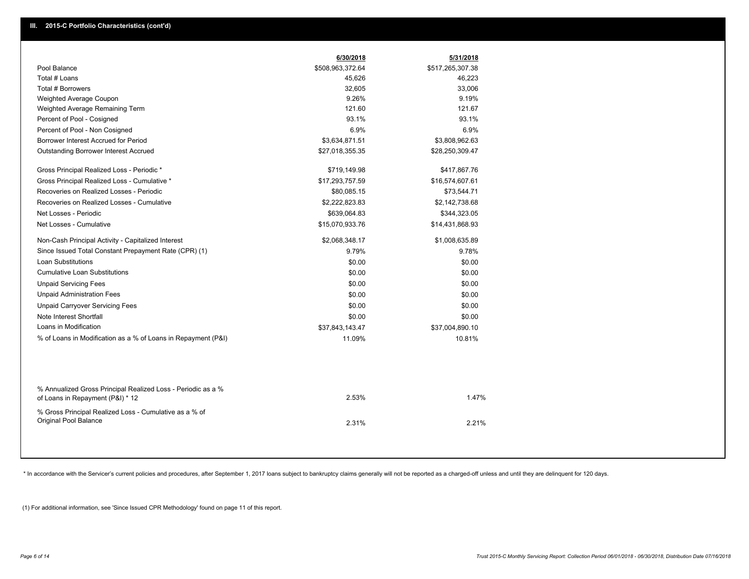|                                                                                                  | 6/30/2018        | 5/31/2018        |
|--------------------------------------------------------------------------------------------------|------------------|------------------|
| Pool Balance                                                                                     | \$508,963,372.64 | \$517,265,307.38 |
| Total # Loans                                                                                    | 45,626           | 46,223           |
| <b>Total # Borrowers</b>                                                                         | 32,605           | 33,006           |
| Weighted Average Coupon                                                                          | 9.26%            | 9.19%            |
| Weighted Average Remaining Term                                                                  | 121.60           | 121.67           |
| Percent of Pool - Cosigned                                                                       | 93.1%            | 93.1%            |
| Percent of Pool - Non Cosigned                                                                   | 6.9%             | 6.9%             |
| Borrower Interest Accrued for Period                                                             | \$3,634,871.51   | \$3,808,962.63   |
| Outstanding Borrower Interest Accrued                                                            | \$27,018,355.35  | \$28,250,309.47  |
| Gross Principal Realized Loss - Periodic *                                                       | \$719,149.98     | \$417,867.76     |
| Gross Principal Realized Loss - Cumulative *                                                     | \$17,293,757.59  | \$16,574,607.61  |
| Recoveries on Realized Losses - Periodic                                                         | \$80,085.15      | \$73,544.71      |
| Recoveries on Realized Losses - Cumulative                                                       | \$2,222,823.83   | \$2,142,738.68   |
| Net Losses - Periodic                                                                            | \$639,064.83     | \$344,323.05     |
| Net Losses - Cumulative                                                                          | \$15,070,933.76  | \$14,431,868.93  |
| Non-Cash Principal Activity - Capitalized Interest                                               | \$2,068,348.17   | \$1,008,635.89   |
| Since Issued Total Constant Prepayment Rate (CPR) (1)                                            | 9.79%            | 9.78%            |
| <b>Loan Substitutions</b>                                                                        | \$0.00           | \$0.00           |
| <b>Cumulative Loan Substitutions</b>                                                             | \$0.00           | \$0.00           |
| <b>Unpaid Servicing Fees</b>                                                                     | \$0.00           | \$0.00           |
| <b>Unpaid Administration Fees</b>                                                                | \$0.00           | \$0.00           |
| <b>Unpaid Carryover Servicing Fees</b>                                                           | \$0.00           | \$0.00           |
| Note Interest Shortfall                                                                          | \$0.00           | \$0.00           |
| Loans in Modification                                                                            | \$37,843,143.47  | \$37,004,890.10  |
| % of Loans in Modification as a % of Loans in Repayment (P&I)                                    | 11.09%           | 10.81%           |
|                                                                                                  |                  |                  |
| % Annualized Gross Principal Realized Loss - Periodic as a %<br>of Loans in Repayment (P&I) * 12 | 2.53%            | 1.47%            |
| % Gross Principal Realized Loss - Cumulative as a % of<br>Original Pool Balance                  | 2.31%            | 2.21%            |

\* In accordance with the Servicer's current policies and procedures, after September 1, 2017 loans subject to bankruptcy claims generally will not be reported as a charged-off unless and until they are delinquent for 120 d

(1) For additional information, see 'Since Issued CPR Methodology' found on page 11 of this report.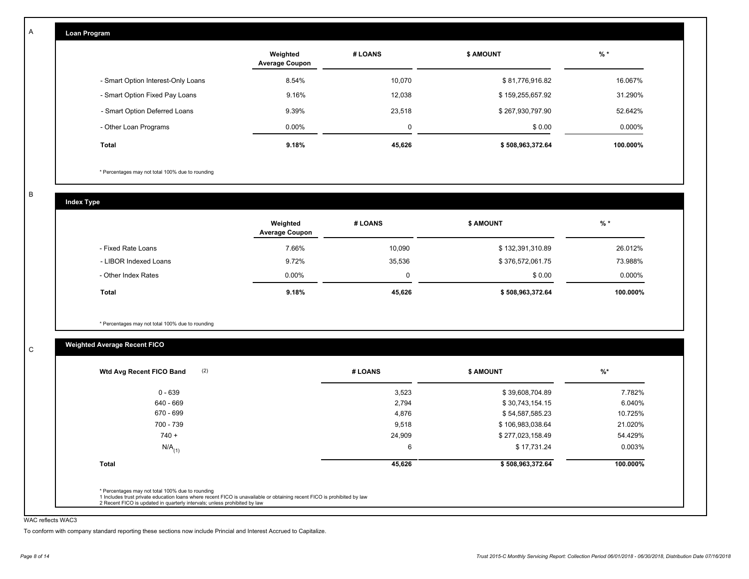| Loan Program                       |                                   |         |                  |          |
|------------------------------------|-----------------------------------|---------|------------------|----------|
|                                    | Weighted<br><b>Average Coupon</b> | # LOANS | <b>\$ AMOUNT</b> | $%$ *    |
| - Smart Option Interest-Only Loans | 8.54%                             | 10,070  | \$81,776,916.82  | 16.067%  |
| - Smart Option Fixed Pay Loans     | 9.16%                             | 12,038  | \$159,255,657.92 | 31.290%  |
| - Smart Option Deferred Loans      | 9.39%                             | 23,518  | \$267,930,797.90 | 52.642%  |
| - Other Loan Programs              | $0.00\%$                          | 0       | \$0.00           | 0.000%   |
| Total                              | 9.18%                             | 45,626  | \$508,963,372.64 | 100.000% |

\* Percentages may not total 100% due to rounding

B

C

A

**Index Type**

|                       | Weighted<br><b>Average Coupon</b> | # LOANS | <b>\$ AMOUNT</b> | $%$ *    |
|-----------------------|-----------------------------------|---------|------------------|----------|
| - Fixed Rate Loans    | 7.66%                             | 10.090  | \$132,391,310.89 | 26.012%  |
| - LIBOR Indexed Loans | 9.72%                             | 35,536  | \$376,572,061.75 | 73.988%  |
| - Other Index Rates   | $0.00\%$                          | 0       | \$0.00           | 0.000%   |
| <b>Total</b>          | 9.18%                             | 45,626  | \$508,963,372.64 | 100.000% |

\* Percentages may not total 100% due to rounding

## **Weighted Average Recent FICO**

| 0 - 639              | 3,523  | \$39,608,704.89  | 7.782%   |
|----------------------|--------|------------------|----------|
| 640 - 669            | 2,794  | \$30,743,154.15  | 6.040%   |
| 670 - 699            | 4,876  | \$54,587,585.23  | 10.725%  |
| 700 - 739            | 9,518  | \$106,983,038.64 | 21.020%  |
| $740 +$              | 24,909 | \$277,023,158.49 | 54.429%  |
| $N/A$ <sub>(1)</sub> | 6      | \$17,731.24      | 0.003%   |
| <b>Total</b>         | 45,626 | \$508,963,372.64 | 100.000% |
|                      |        |                  |          |

#### WAC reflects WAC3

To conform with company standard reporting these sections now include Princial and Interest Accrued to Capitalize.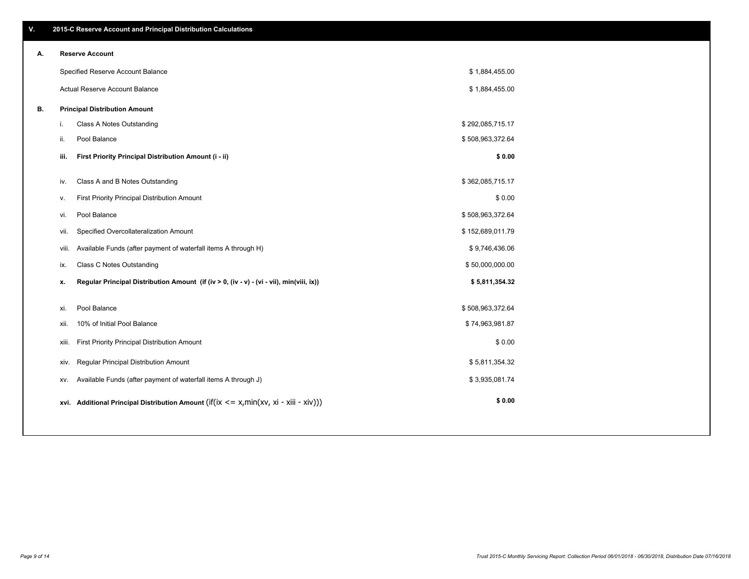| А. |       | Reserve Account                                                                          |                  |  |
|----|-------|------------------------------------------------------------------------------------------|------------------|--|
|    |       | Specified Reserve Account Balance                                                        | \$1,884,455.00   |  |
|    |       | Actual Reserve Account Balance                                                           | \$1,884,455.00   |  |
| В. |       | <b>Principal Distribution Amount</b>                                                     |                  |  |
|    | i.    | Class A Notes Outstanding                                                                | \$292,085,715.17 |  |
|    | ii.   | Pool Balance                                                                             | \$508,963,372.64 |  |
|    | iii.  | First Priority Principal Distribution Amount (i - ii)                                    | \$0.00           |  |
|    | IV.   | Class A and B Notes Outstanding                                                          | \$362,085,715.17 |  |
|    | v.    | First Priority Principal Distribution Amount                                             | \$0.00           |  |
|    | vi.   | Pool Balance                                                                             | \$508,963,372.64 |  |
|    | vii.  | Specified Overcollateralization Amount                                                   | \$152,689,011.79 |  |
|    | viii. | Available Funds (after payment of waterfall items A through H)                           | \$9,746,436.06   |  |
|    | ix.   | Class C Notes Outstanding                                                                | \$50,000,000.00  |  |
|    | х.    | Regular Principal Distribution Amount (if (iv > 0, (iv - v) - (vi - vii), min(viii, ix)) | \$5,811,354.32   |  |
|    | xi.   | Pool Balance                                                                             | \$508,963,372.64 |  |
|    | xii.  | 10% of Initial Pool Balance                                                              | \$74,963,981.87  |  |
|    | xiii. | First Priority Principal Distribution Amount                                             | \$0.00           |  |
|    | XIV.  | Regular Principal Distribution Amount                                                    | \$5,811,354.32   |  |
|    | XV.   | Available Funds (after payment of waterfall items A through J)                           | \$3,935,081.74   |  |
|    |       | xvi. Additional Principal Distribution Amount (if(ix <= x,min(xv, xi - xiii - xiv)))     | \$0.00           |  |
|    |       |                                                                                          |                  |  |

## **A. Reserve Account**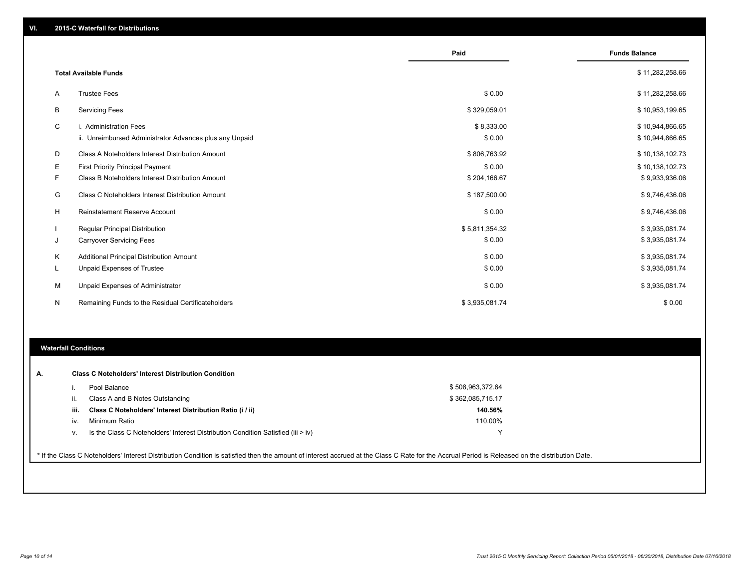|    |                                                         | Paid           | <b>Funds Balance</b> |
|----|---------------------------------------------------------|----------------|----------------------|
|    | <b>Total Available Funds</b>                            |                | \$11,282,258.66      |
| A  | <b>Trustee Fees</b>                                     | \$0.00         | \$11,282,258.66      |
| B  | <b>Servicing Fees</b>                                   | \$329,059.01   | \$10,953,199.65      |
| C  | i. Administration Fees                                  | \$8,333.00     | \$10,944,866.65      |
|    | ii. Unreimbursed Administrator Advances plus any Unpaid | \$0.00         | \$10,944,866.65      |
| D  | Class A Noteholders Interest Distribution Amount        | \$806,763.92   | \$10,138,102.73      |
| Е  | First Priority Principal Payment                        | \$0.00         | \$10,138,102.73      |
| F. | Class B Noteholders Interest Distribution Amount        | \$204,166.67   | \$9,933,936.06       |
| G  | Class C Noteholders Interest Distribution Amount        | \$187,500.00   | \$9,746,436.06       |
| Н  | <b>Reinstatement Reserve Account</b>                    | \$0.00         | \$9,746,436.06       |
|    | <b>Regular Principal Distribution</b>                   | \$5,811,354.32 | \$3,935,081.74       |
| J  | <b>Carryover Servicing Fees</b>                         | \$0.00         | \$3,935,081.74       |
| Κ  | <b>Additional Principal Distribution Amount</b>         | \$0.00         | \$3,935,081.74       |
| L  | Unpaid Expenses of Trustee                              | \$0.00         | \$3,935,081.74       |
| M  | Unpaid Expenses of Administrator                        | \$0.00         | \$3,935,081.74       |
| N  | Remaining Funds to the Residual Certificateholders      | \$3,935,081.74 | \$0.00               |

#### **Waterfall Conditions**

| А. | <b>Class C Noteholders' Interest Distribution Condition</b>                              |                  |
|----|------------------------------------------------------------------------------------------|------------------|
|    | Pool Balance                                                                             | \$508,963,372.64 |
|    | Class A and B Notes Outstanding<br>Ш.                                                    | \$362,085,715.17 |
|    | Class C Noteholders' Interest Distribution Ratio (i / ii)<br>iii.                        | 140.56%          |
|    | Minimum Ratio<br>IV.                                                                     | 110.00%          |
|    | Is the Class C Noteholders' Interest Distribution Condition Satisfied (iii $>$ iv)<br>V. | v                |

\* If the Class C Noteholders' Interest Distribution Condition is satisfied then the amount of interest accrued at the Class C Rate for the Accrual Period is Released on the distribution Date.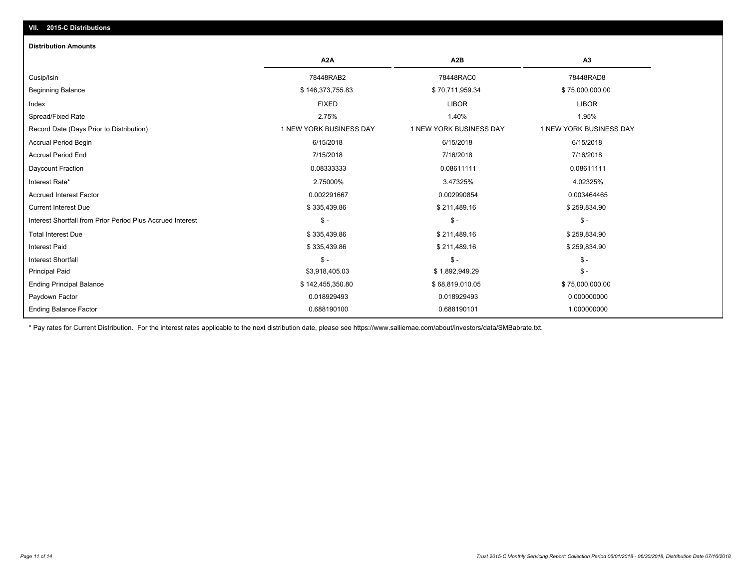## **VII. 2015-C Distributions**

#### **Distribution Amounts**

|                                                            | A <sub>2</sub> A        | A <sub>2</sub> B        | A3                      |
|------------------------------------------------------------|-------------------------|-------------------------|-------------------------|
| Cusip/Isin                                                 | 78448RAB2               | 78448RAC0               | 78448RAD8               |
| <b>Beginning Balance</b>                                   | \$146,373,755.83        | \$70,711,959.34         | \$75,000,000.00         |
| Index                                                      | <b>FIXED</b>            | <b>LIBOR</b>            | <b>LIBOR</b>            |
| Spread/Fixed Rate                                          | 2.75%                   | 1.40%                   | 1.95%                   |
| Record Date (Days Prior to Distribution)                   | 1 NEW YORK BUSINESS DAY | 1 NEW YORK BUSINESS DAY | 1 NEW YORK BUSINESS DAY |
| <b>Accrual Period Begin</b>                                | 6/15/2018               | 6/15/2018               | 6/15/2018               |
| <b>Accrual Period End</b>                                  | 7/15/2018               | 7/16/2018               | 7/16/2018               |
| Daycount Fraction                                          | 0.08333333              | 0.08611111              | 0.08611111              |
| Interest Rate*                                             | 2.75000%                | 3.47325%                | 4.02325%                |
| <b>Accrued Interest Factor</b>                             | 0.002291667             | 0.002990854             | 0.003464465             |
| <b>Current Interest Due</b>                                | \$335,439.86            | \$211,489.16            | \$259,834.90            |
| Interest Shortfall from Prior Period Plus Accrued Interest | $\mathsf{\$}$ -         | $S -$                   | $S -$                   |
| <b>Total Interest Due</b>                                  | \$335,439.86            | \$211,489.16            | \$259,834.90            |
| <b>Interest Paid</b>                                       | \$335,439.86            | \$211,489.16            | \$259,834.90            |
| <b>Interest Shortfall</b>                                  | $\mathsf{\$}$ -         | $\mathsf{\$}$ -         | \$ -                    |
| <b>Principal Paid</b>                                      | \$3,918,405.03          | \$1,892,949.29          | $\frac{2}{3}$ -         |
| <b>Ending Principal Balance</b>                            | \$142,455,350.80        | \$68,819,010.05         | \$75,000,000.00         |
| Paydown Factor                                             | 0.018929493             | 0.018929493             | 0.000000000             |
| <b>Ending Balance Factor</b>                               | 0.688190100             | 0.688190101             | 1.000000000             |

\* Pay rates for Current Distribution. For the interest rates applicable to the next distribution date, please see https://www.salliemae.com/about/investors/data/SMBabrate.txt.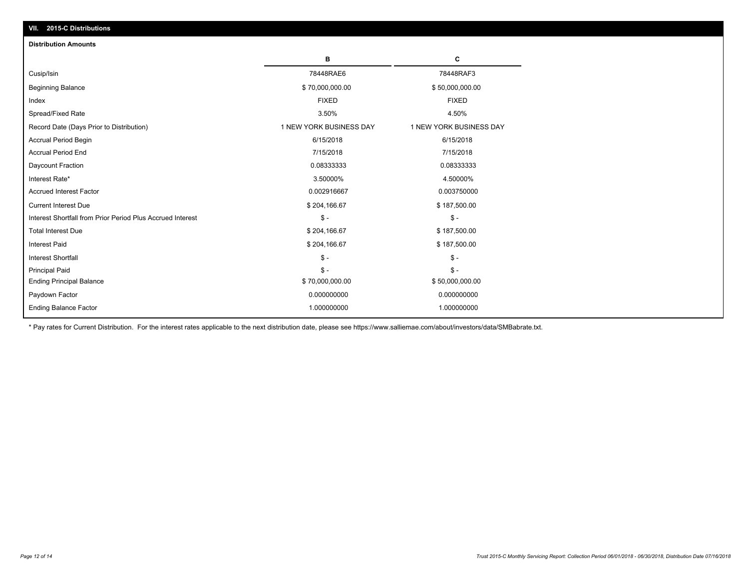| <b>Distribution Amounts</b>                                |                         |                         |
|------------------------------------------------------------|-------------------------|-------------------------|
|                                                            | в                       | C                       |
| Cusip/Isin                                                 | 78448RAE6               | 78448RAF3               |
| <b>Beginning Balance</b>                                   | \$70,000,000.00         | \$50,000,000.00         |
| Index                                                      | <b>FIXED</b>            | <b>FIXED</b>            |
| Spread/Fixed Rate                                          | 3.50%                   | 4.50%                   |
| Record Date (Days Prior to Distribution)                   | 1 NEW YORK BUSINESS DAY | 1 NEW YORK BUSINESS DAY |
| <b>Accrual Period Begin</b>                                | 6/15/2018               | 6/15/2018               |
| <b>Accrual Period End</b>                                  | 7/15/2018               | 7/15/2018               |
| Daycount Fraction                                          | 0.08333333              | 0.08333333              |
| Interest Rate*                                             | 3.50000%                | 4.50000%                |
| <b>Accrued Interest Factor</b>                             | 0.002916667             | 0.003750000             |
| <b>Current Interest Due</b>                                | \$204,166.67            | \$187,500.00            |
| Interest Shortfall from Prior Period Plus Accrued Interest | $\mathsf{\$}$ -         | $\mathsf{\$}$ -         |
| <b>Total Interest Due</b>                                  | \$204,166.67            | \$187,500.00            |
| <b>Interest Paid</b>                                       | \$204,166.67            | \$187,500.00            |
| <b>Interest Shortfall</b>                                  | $\mathsf{\$}$ -         | $\mathsf{\$}$ -         |
| <b>Principal Paid</b>                                      | $S -$                   | $S -$                   |
| <b>Ending Principal Balance</b>                            | \$70,000,000.00         | \$50,000,000.00         |
| Paydown Factor                                             | 0.000000000             | 0.000000000             |
| <b>Ending Balance Factor</b>                               | 1.000000000             | 1.000000000             |

\* Pay rates for Current Distribution. For the interest rates applicable to the next distribution date, please see https://www.salliemae.com/about/investors/data/SMBabrate.txt.

**VII. 2015-C Distributions**